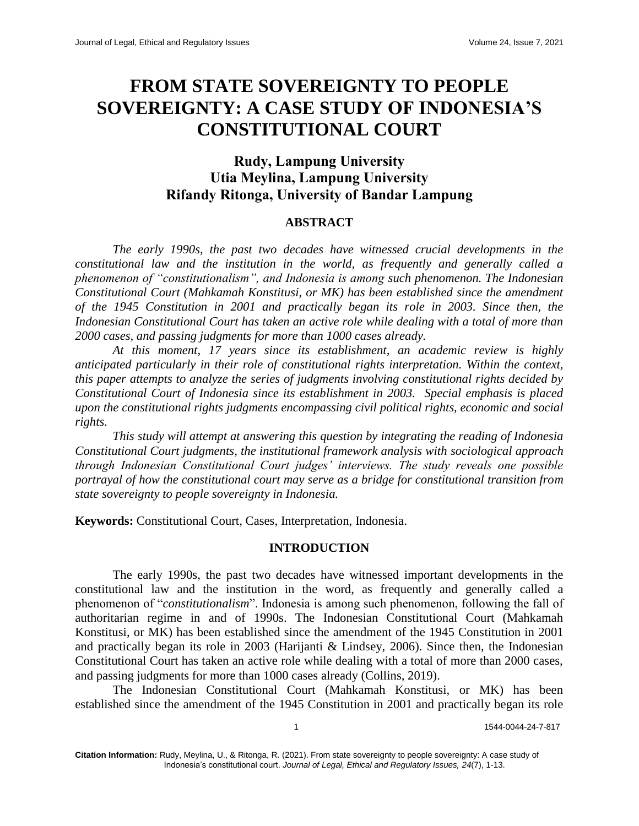# **FROM STATE SOVEREIGNTY TO PEOPLE SOVEREIGNTY: A CASE STUDY OF INDONESIA'S CONSTITUTIONAL COURT**

# **Rudy, Lampung University Utia Meylina, Lampung University Rifandy Ritonga, University of Bandar Lampung**

# **ABSTRACT**

*The early 1990s, the past two decades have witnessed crucial developments in the constitutional law and the institution in the world, as frequently and generally called a phenomenon of "constitutionalism", and Indonesia is among such phenomenon. The Indonesian Constitutional Court (Mahkamah Konstitusi, or MK) has been established since the amendment of the 1945 Constitution in 2001 and practically began its role in 2003. Since then, the Indonesian Constitutional Court has taken an active role while dealing with a total of more than 2000 cases, and passing judgments for more than 1000 cases already.*

*At this moment, 17 years since its establishment, an academic review is highly anticipated particularly in their role of constitutional rights interpretation. Within the context, this paper attempts to analyze the series of judgments involving constitutional rights decided by Constitutional Court of Indonesia since its establishment in 2003. Special emphasis is placed upon the constitutional rights judgments encompassing civil political rights, economic and social rights.*

*This study will attempt at answering this question by integrating the reading of Indonesia Constitutional Court judgments, the institutional framework analysis with sociological approach through Indonesian Constitutional Court judges' interviews. The study reveals one possible portrayal of how the constitutional court may serve as a bridge for constitutional transition from state sovereignty to people sovereignty in Indonesia.*

**Keywords:** Constitutional Court, Cases, Interpretation, Indonesia.

# **INTRODUCTION**

The early 1990s, the past two decades have witnessed important developments in the constitutional law and the institution in the word, as frequently and generally called a phenomenon of "*constitutionalism*". Indonesia is among such phenomenon, following the fall of authoritarian regime in and of 1990s. The Indonesian Constitutional Court (Mahkamah Konstitusi, or MK) has been established since the amendment of the 1945 Constitution in 2001 and practically began its role in 2003 (Harijanti & Lindsey, 2006). Since then, the Indonesian Constitutional Court has taken an active role while dealing with a total of more than 2000 cases, and passing judgments for more than 1000 cases already (Collins, 2019).

The Indonesian Constitutional Court (Mahkamah Konstitusi, or MK) has been established since the amendment of the 1945 Constitution in 2001 and practically began its role

1 1544-0044-24-7-817

**Citation Information:** Rudy, Meylina, U., & Ritonga, R. (2021). From state sovereignty to people sovereignty: A case study of Indonesia's constitutional court. *Journal of Legal, Ethical and Regulatory Issues, 24*(7), 1-13.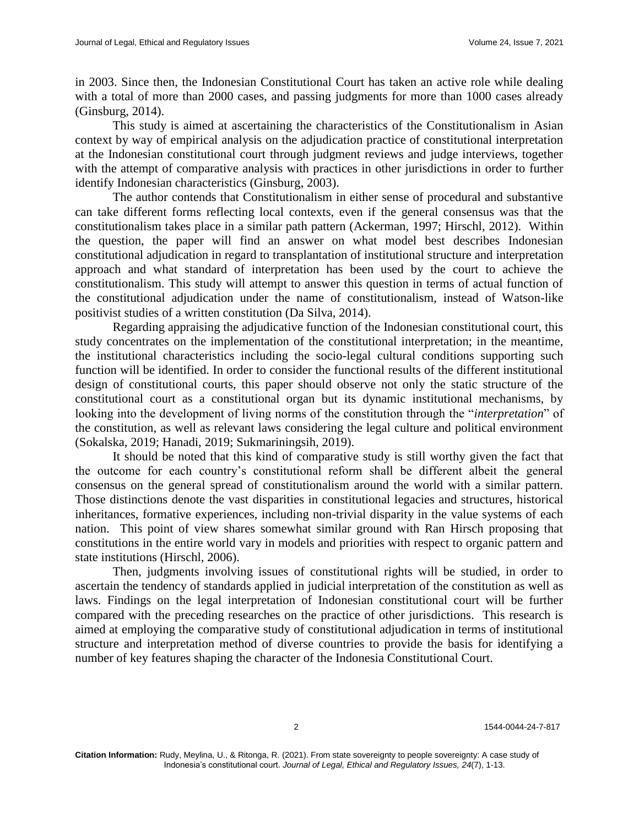in 2003. Since then, the Indonesian Constitutional Court has taken an active role while dealing with a total of more than 2000 cases, and passing judgments for more than 1000 cases already (Ginsburg, 2014).

This study is aimed at ascertaining the characteristics of the Constitutionalism in Asian context by way of empirical analysis on the adjudication practice of constitutional interpretation at the Indonesian constitutional court through judgment reviews and judge interviews, together with the attempt of comparative analysis with practices in other jurisdictions in order to further identify Indonesian characteristics (Ginsburg, 2003).

The author contends that Constitutionalism in either sense of procedural and substantive can take different forms reflecting local contexts, even if the general consensus was that the constitutionalism takes place in a similar path pattern (Ackerman, 1997; Hirschl, 2012). Within the question, the paper will find an answer on what model best describes Indonesian constitutional adjudication in regard to transplantation of institutional structure and interpretation approach and what standard of interpretation has been used by the court to achieve the constitutionalism. This study will attempt to answer this question in terms of actual function of the constitutional adjudication under the name of constitutionalism, instead of Watson-like positivist studies of a written constitution (Da Silva, 2014).

Regarding appraising the adjudicative function of the Indonesian constitutional court, this study concentrates on the implementation of the constitutional interpretation; in the meantime, the institutional characteristics including the socio-legal cultural conditions supporting such function will be identified. In order to consider the functional results of the different institutional design of constitutional courts, this paper should observe not only the static structure of the constitutional court as a constitutional organ but its dynamic institutional mechanisms, by looking into the development of living norms of the constitution through the "*interpretation*" of the constitution, as well as relevant laws considering the legal culture and political environment (Sokalska, 2019; Hanadi, 2019; Sukmariningsih, 2019).

It should be noted that this kind of comparative study is still worthy given the fact that the outcome for each country's constitutional reform shall be different albeit the general consensus on the general spread of constitutionalism around the world with a similar pattern. Those distinctions denote the vast disparities in constitutional legacies and structures, historical inheritances, formative experiences, including non-trivial disparity in the value systems of each nation. This point of view shares somewhat similar ground with Ran Hirsch proposing that constitutions in the entire world vary in models and priorities with respect to organic pattern and state institutions (Hirschl, 2006).

Then, judgments involving issues of constitutional rights will be studied, in order to ascertain the tendency of standards applied in judicial interpretation of the constitution as well as laws. Findings on the legal interpretation of Indonesian constitutional court will be further compared with the preceding researches on the practice of other jurisdictions. This research is aimed at employing the comparative study of constitutional adjudication in terms of institutional structure and interpretation method of diverse countries to provide the basis for identifying a number of key features shaping the character of the Indonesia Constitutional Court.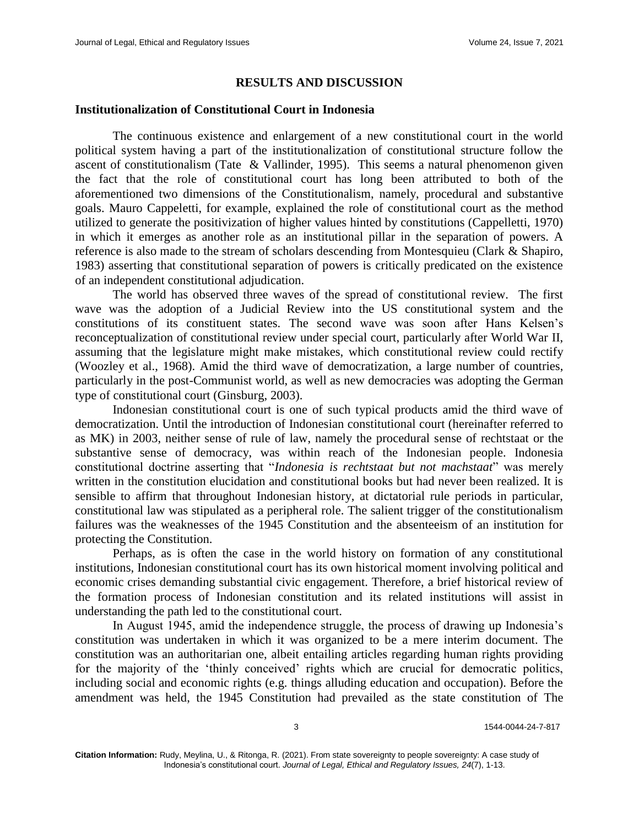# **RESULTS AND DISCUSSION**

### **Institutionalization of Constitutional Court in Indonesia**

The continuous existence and enlargement of a new constitutional court in the world political system having a part of the institutionalization of constitutional structure follow the ascent of constitutionalism (Tate & Vallinder, 1995). This seems a natural phenomenon given the fact that the role of constitutional court has long been attributed to both of the aforementioned two dimensions of the Constitutionalism, namely, procedural and substantive goals. Mauro Cappeletti, for example, explained the role of constitutional court as the method utilized to generate the positivization of higher values hinted by constitutions (Cappelletti, 1970) in which it emerges as another role as an institutional pillar in the separation of powers. A reference is also made to the stream of scholars descending from Montesquieu (Clark & Shapiro, 1983) asserting that constitutional separation of powers is critically predicated on the existence of an independent constitutional adjudication.

The world has observed three waves of the spread of constitutional review. The first wave was the adoption of a Judicial Review into the US constitutional system and the constitutions of its constituent states. The second wave was soon after Hans Kelsen's reconceptualization of constitutional review under special court, particularly after World War II, assuming that the legislature might make mistakes, which constitutional review could rectify (Woozley et al., 1968). Amid the third wave of democratization, a large number of countries, particularly in the post-Communist world, as well as new democracies was adopting the German type of constitutional court (Ginsburg, 2003).

Indonesian constitutional court is one of such typical products amid the third wave of democratization. Until the introduction of Indonesian constitutional court (hereinafter referred to as MK) in 2003, neither sense of rule of law, namely the procedural sense of rechtstaat or the substantive sense of democracy, was within reach of the Indonesian people. Indonesia constitutional doctrine asserting that "*Indonesia is rechtstaat but not machstaat*" was merely written in the constitution elucidation and constitutional books but had never been realized. It is sensible to affirm that throughout Indonesian history, at dictatorial rule periods in particular, constitutional law was stipulated as a peripheral role. The salient trigger of the constitutionalism failures was the weaknesses of the 1945 Constitution and the absenteeism of an institution for protecting the Constitution.

Perhaps, as is often the case in the world history on formation of any constitutional institutions, Indonesian constitutional court has its own historical moment involving political and economic crises demanding substantial civic engagement. Therefore, a brief historical review of the formation process of Indonesian constitution and its related institutions will assist in understanding the path led to the constitutional court.

In August 1945, amid the independence struggle, the process of drawing up Indonesia's constitution was undertaken in which it was organized to be a mere interim document. The constitution was an authoritarian one, albeit entailing articles regarding human rights providing for the majority of the 'thinly conceived' rights which are crucial for democratic politics, including social and economic rights (e.g. things alluding education and occupation). Before the amendment was held, the 1945 Constitution had prevailed as the state constitution of The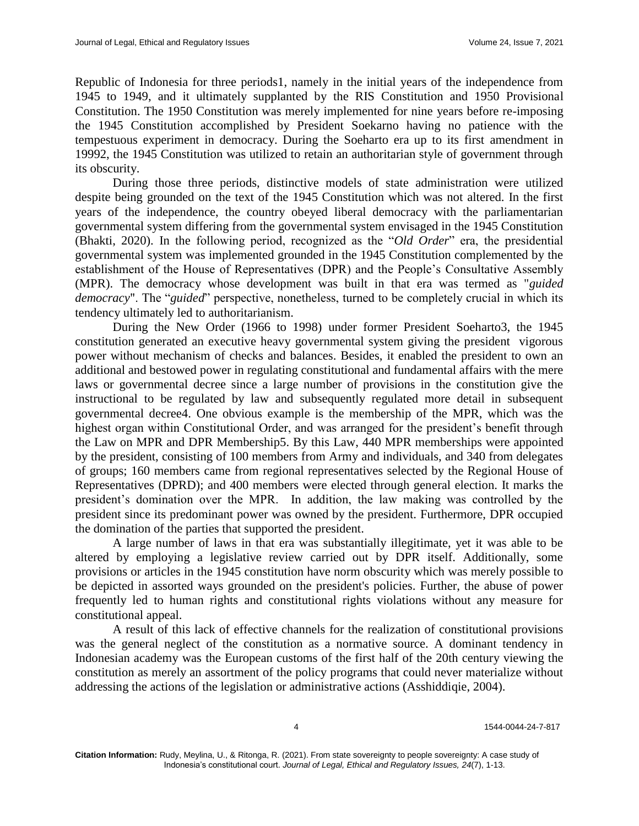Republic of Indonesia for three periods1, namely in the initial years of the independence from 1945 to 1949, and it ultimately supplanted by the RIS Constitution and 1950 Provisional Constitution. The 1950 Constitution was merely implemented for nine years before re-imposing the 1945 Constitution accomplished by President Soekarno having no patience with the tempestuous experiment in democracy. During the Soeharto era up to its first amendment in 19992, the 1945 Constitution was utilized to retain an authoritarian style of government through its obscurity.

During those three periods, distinctive models of state administration were utilized despite being grounded on the text of the 1945 Constitution which was not altered. In the first years of the independence, the country obeyed liberal democracy with the parliamentarian governmental system differing from the governmental system envisaged in the 1945 Constitution (Bhakti, 2020). In the following period, recognized as the "*Old Order*" era, the presidential governmental system was implemented grounded in the 1945 Constitution complemented by the establishment of the House of Representatives (DPR) and the People's Consultative Assembly (MPR). The democracy whose development was built in that era was termed as "*guided democracy*". The "*guided*" perspective, nonetheless, turned to be completely crucial in which its tendency ultimately led to authoritarianism.

During the New Order (1966 to 1998) under former President Soeharto3, the 1945 constitution generated an executive heavy governmental system giving the president vigorous power without mechanism of checks and balances. Besides, it enabled the president to own an additional and bestowed power in regulating constitutional and fundamental affairs with the mere laws or governmental decree since a large number of provisions in the constitution give the instructional to be regulated by law and subsequently regulated more detail in subsequent governmental decree4. One obvious example is the membership of the MPR, which was the highest organ within Constitutional Order, and was arranged for the president's benefit through the Law on MPR and DPR Membership5. By this Law, 440 MPR memberships were appointed by the president, consisting of 100 members from Army and individuals, and 340 from delegates of groups; 160 members came from regional representatives selected by the Regional House of Representatives (DPRD); and 400 members were elected through general election. It marks the president's domination over the MPR. In addition, the law making was controlled by the president since its predominant power was owned by the president. Furthermore, DPR occupied the domination of the parties that supported the president.

A large number of laws in that era was substantially illegitimate, yet it was able to be altered by employing a legislative review carried out by DPR itself. Additionally, some provisions or articles in the 1945 constitution have norm obscurity which was merely possible to be depicted in assorted ways grounded on the president's policies. Further, the abuse of power frequently led to human rights and constitutional rights violations without any measure for constitutional appeal.

A result of this lack of effective channels for the realization of constitutional provisions was the general neglect of the constitution as a normative source. A dominant tendency in Indonesian academy was the European customs of the first half of the 20th century viewing the constitution as merely an assortment of the policy programs that could never materialize without addressing the actions of the legislation or administrative actions (Asshiddiqie, 2004).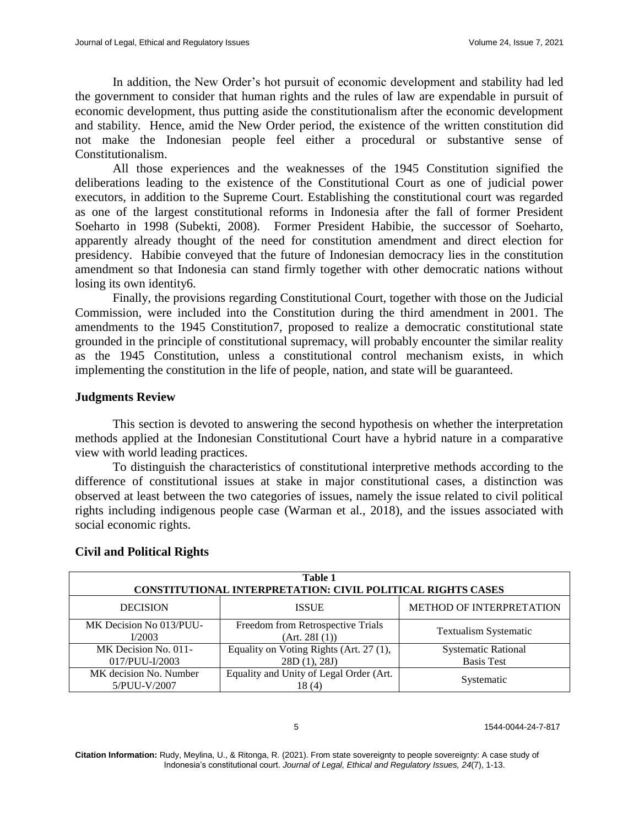In addition, the New Order's hot pursuit of economic development and stability had led the government to consider that human rights and the rules of law are expendable in pursuit of economic development, thus putting aside the constitutionalism after the economic development and stability. Hence, amid the New Order period, the existence of the written constitution did not make the Indonesian people feel either a procedural or substantive sense of Constitutionalism.

All those experiences and the weaknesses of the 1945 Constitution signified the deliberations leading to the existence of the Constitutional Court as one of judicial power executors, in addition to the Supreme Court. Establishing the constitutional court was regarded as one of the largest constitutional reforms in Indonesia after the fall of former President Soeharto in 1998 (Subekti, 2008). Former President Habibie, the successor of Soeharto, apparently already thought of the need for constitution amendment and direct election for presidency. Habibie conveyed that the future of Indonesian democracy lies in the constitution amendment so that Indonesia can stand firmly together with other democratic nations without losing its own identity6.

Finally, the provisions regarding Constitutional Court, together with those on the Judicial Commission, were included into the Constitution during the third amendment in 2001. The amendments to the 1945 Constitution7, proposed to realize a democratic constitutional state grounded in the principle of constitutional supremacy, will probably encounter the similar reality as the 1945 Constitution, unless a constitutional control mechanism exists, in which implementing the constitution in the life of people, nation, and state will be guaranteed.

# **Judgments Review**

This section is devoted to answering the second hypothesis on whether the interpretation methods applied at the Indonesian Constitutional Court have a hybrid nature in a comparative view with world leading practices.

To distinguish the characteristics of constitutional interpretive methods according to the difference of constitutional issues at stake in major constitutional cases, a distinction was observed at least between the two categories of issues, namely the issue related to civil political rights including indigenous people case (Warman et al., 2018), and the issues associated with social economic rights.

| Table 1<br><b>CONSTITUTIONAL INTERPRETATION: CIVIL POLITICAL RIGHTS CASES</b> |                                                                                    |                                 |  |  |  |
|-------------------------------------------------------------------------------|------------------------------------------------------------------------------------|---------------------------------|--|--|--|
| <b>DECISION</b>                                                               | <b>ISSUE</b>                                                                       | <b>METHOD OF INTERPRETATION</b> |  |  |  |
| MK Decision No 013/PUU-<br>I/2003                                             | Freedom from Retrospective Trials<br><b>Textualism Systematic</b><br>(Art. 28I(1)) |                                 |  |  |  |
| MK Decision No. 011-                                                          | Equality on Voting Rights (Art. 27 (1),                                            | <b>Systematic Rational</b>      |  |  |  |
| 017/PUU-I/2003                                                                | 28D(1), 28J                                                                        | <b>Basis Test</b>               |  |  |  |
| MK decision No. Number<br>5/PUU-V/2007                                        | Equality and Unity of Legal Order (Art.<br>18(4)                                   | Systematic                      |  |  |  |

# **Civil and Political Rights**

#### 5 1544-0044-24-7-817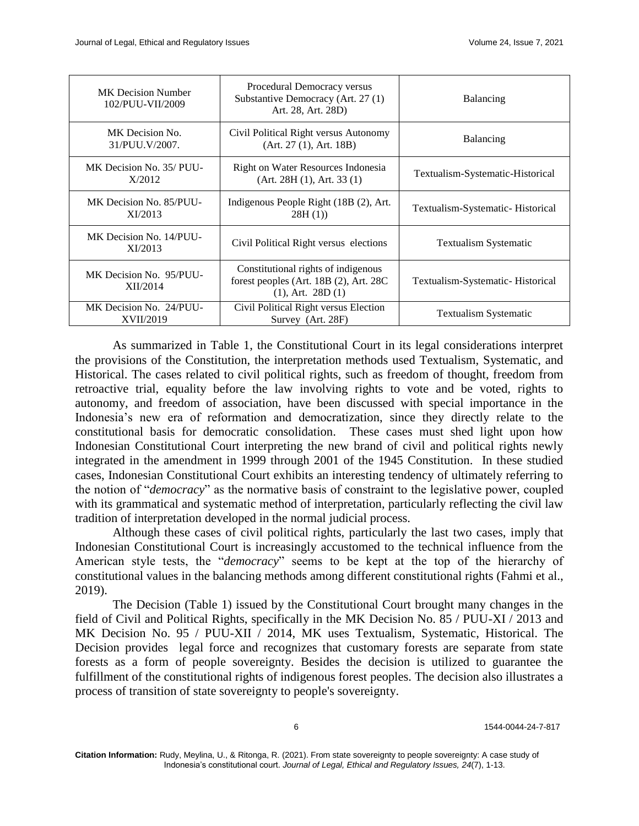| MK Decision Number<br>102/PUU-VII/2009      | Procedural Democracy versus<br>Substantive Democracy (Art. 27 (1)<br>Art. 28, Art. 28D)                     | Balancing                        |  |
|---------------------------------------------|-------------------------------------------------------------------------------------------------------------|----------------------------------|--|
| MK Decision No.<br>31/PUU.V/2007.           | Civil Political Right versus Autonomy<br>(Art. 27 (1), Art. 18B)                                            | Balancing                        |  |
| MK Decision No. 35/ PUU-<br>X/2012          | Right on Water Resources Indonesia<br>(Art. 28H(1), Art. 33(1))                                             | Textualism-Systematic-Historical |  |
| MK Decision No. 85/PUU-<br>XI/2013          | Indigenous People Right (18B (2), Art.<br>28H(1)                                                            | Textualism-Systematic-Historical |  |
| MK Decision No. 14/PUU-<br>XI/2013          | Civil Political Right versus elections                                                                      | <b>Textualism Systematic</b>     |  |
| MK Decision No. 95/PUU-<br>XII/2014         | Constitutional rights of indigenous<br>forest peoples (Art. $18B(2)$ , Art. $28C$<br>$(1)$ , Art. 28D $(1)$ | Textualism-Systematic-Historical |  |
| MK Decision No. 24/PUU-<br><b>XVII/2019</b> | Civil Political Right versus Election<br>Survey (Art. 28F)                                                  | <b>Textualism Systematic</b>     |  |

As summarized in Table 1, the Constitutional Court in its legal considerations interpret the provisions of the Constitution, the interpretation methods used Textualism, Systematic, and Historical. The cases related to civil political rights, such as freedom of thought, freedom from retroactive trial, equality before the law involving rights to vote and be voted, rights to autonomy, and freedom of association, have been discussed with special importance in the Indonesia's new era of reformation and democratization, since they directly relate to the constitutional basis for democratic consolidation. These cases must shed light upon how Indonesian Constitutional Court interpreting the new brand of civil and political rights newly integrated in the amendment in 1999 through 2001 of the 1945 Constitution. In these studied cases, Indonesian Constitutional Court exhibits an interesting tendency of ultimately referring to the notion of "*democracy*" as the normative basis of constraint to the legislative power, coupled with its grammatical and systematic method of interpretation, particularly reflecting the civil law tradition of interpretation developed in the normal judicial process.

Although these cases of civil political rights, particularly the last two cases, imply that Indonesian Constitutional Court is increasingly accustomed to the technical influence from the American style tests, the "*democracy*" seems to be kept at the top of the hierarchy of constitutional values in the balancing methods among different constitutional rights (Fahmi et al., 2019).

The Decision (Table 1) issued by the Constitutional Court brought many changes in the field of Civil and Political Rights, specifically in the MK Decision No. 85 / PUU-XI / 2013 and MK Decision No. 95 / PUU-XII / 2014, MK uses Textualism, Systematic, Historical. The Decision provides legal force and recognizes that customary forests are separate from state forests as a form of people sovereignty. Besides the decision is utilized to guarantee the fulfillment of the constitutional rights of indigenous forest peoples. The decision also illustrates a process of transition of state sovereignty to people's sovereignty.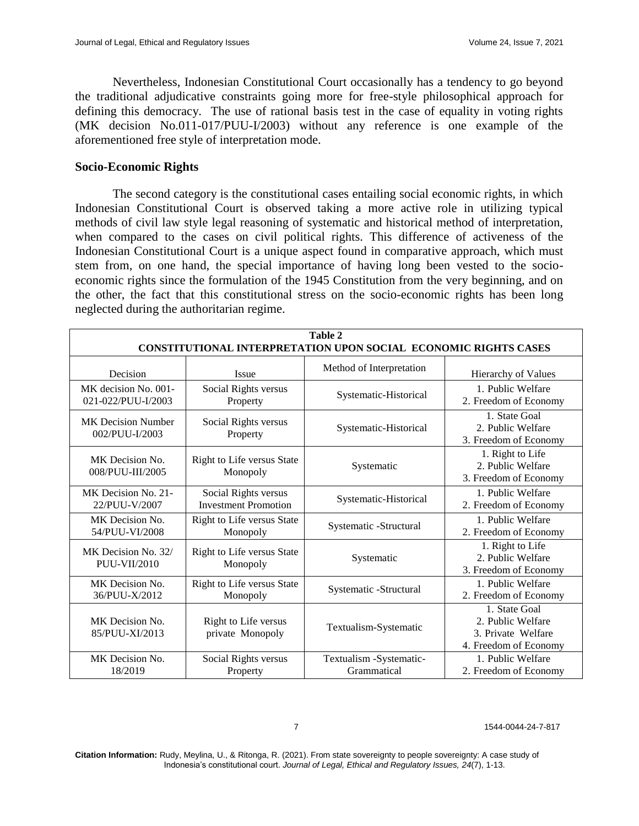Nevertheless, Indonesian Constitutional Court occasionally has a tendency to go beyond the traditional adjudicative constraints going more for free-style philosophical approach for defining this democracy. The use of rational basis test in the case of equality in voting rights (MK decision No.011-017/PUU-I/2003) without any reference is one example of the aforementioned free style of interpretation mode.

# **Socio-Economic Rights**

The second category is the constitutional cases entailing social economic rights, in which Indonesian Constitutional Court is observed taking a more active role in utilizing typical methods of civil law style legal reasoning of systematic and historical method of interpretation, when compared to the cases on civil political rights. This difference of activeness of the Indonesian Constitutional Court is a unique aspect found in comparative approach, which must stem from, on one hand, the special importance of having long been vested to the socioeconomic rights since the formulation of the 1945 Constitution from the very beginning, and on the other, the fact that this constitutional stress on the socio-economic rights has been long neglected during the authoritarian regime.

| Table 2<br><b>CONSTITUTIONAL INTERPRETATION UPON SOCIAL ECONOMIC RIGHTS CASES</b> |                                                     |                                        |                                                                                   |  |  |
|-----------------------------------------------------------------------------------|-----------------------------------------------------|----------------------------------------|-----------------------------------------------------------------------------------|--|--|
| Decision                                                                          | <b>Issue</b>                                        | Method of Interpretation               | Hierarchy of Values                                                               |  |  |
| MK decision No. 001-<br>021-022/PUU-I/2003                                        | Social Rights versus<br>Property                    | Systematic-Historical                  | 1. Public Welfare<br>2. Freedom of Economy                                        |  |  |
| <b>MK</b> Decision Number<br>002/PUU-I/2003                                       | Social Rights versus<br>Property                    | Systematic-Historical                  | 1. State Goal<br>2. Public Welfare<br>3. Freedom of Economy                       |  |  |
| MK Decision No.<br>008/PUU-III/2005                                               | Right to Life versus State<br>Monopoly              | Systematic                             | 1. Right to Life<br>2. Public Welfare<br>3. Freedom of Economy                    |  |  |
| MK Decision No. 21-<br>22/PUU-V/2007                                              | Social Rights versus<br><b>Investment Promotion</b> | Systematic-Historical                  | 1. Public Welfare<br>2. Freedom of Economy                                        |  |  |
| MK Decision No.<br>54/PUU-VI/2008                                                 | Right to Life versus State<br>Monopoly              | Systematic -Structural                 | 1. Public Welfare<br>2. Freedom of Economy                                        |  |  |
| MK Decision No. 32/<br><b>PUU-VII/2010</b>                                        | Right to Life versus State<br>Monopoly              | Systematic                             | 1. Right to Life<br>2. Public Welfare<br>3. Freedom of Economy                    |  |  |
| MK Decision No.<br>36/PUU-X/2012                                                  | Right to Life versus State<br>Monopoly              | Systematic -Structural                 | 1. Public Welfare<br>2. Freedom of Economy                                        |  |  |
| MK Decision No.<br>85/PUU-XI/2013                                                 | Right to Life versus<br>private Monopoly            | Textualism-Systematic                  | 1. State Goal<br>2. Public Welfare<br>3. Private Welfare<br>4. Freedom of Economy |  |  |
| MK Decision No.<br>18/2019                                                        | Social Rights versus<br>Property                    | Textualism -Systematic-<br>Grammatical | 1. Public Welfare<br>2. Freedom of Economy                                        |  |  |

7 1544-0044-24-7-817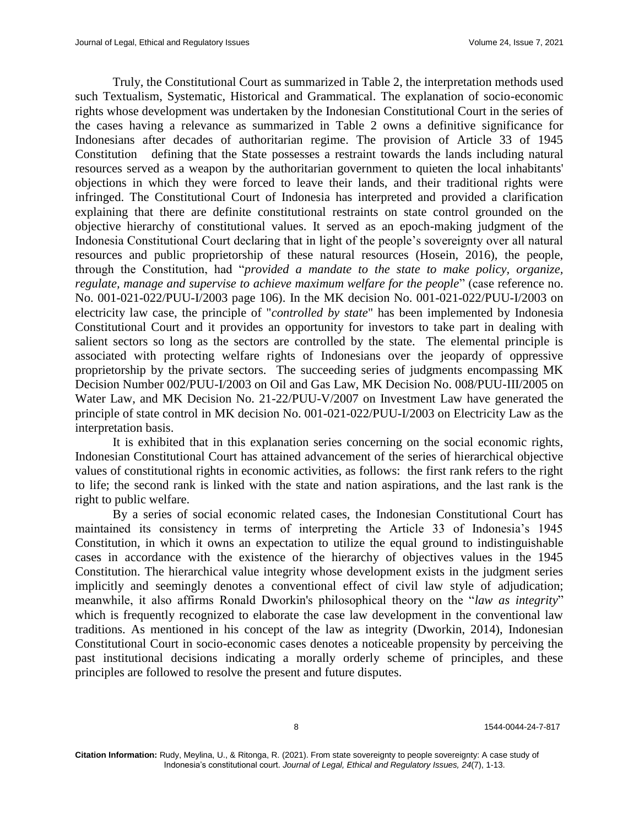Truly, the Constitutional Court as summarized in Table 2, the interpretation methods used such Textualism, Systematic, Historical and Grammatical. The explanation of socio-economic rights whose development was undertaken by the Indonesian Constitutional Court in the series of the cases having a relevance as summarized in Table 2 owns a definitive significance for Indonesians after decades of authoritarian regime. The provision of Article 33 of 1945 Constitution defining that the State possesses a restraint towards the lands including natural resources served as a weapon by the authoritarian government to quieten the local inhabitants' objections in which they were forced to leave their lands, and their traditional rights were infringed. The Constitutional Court of Indonesia has interpreted and provided a clarification explaining that there are definite constitutional restraints on state control grounded on the objective hierarchy of constitutional values. It served as an epoch-making judgment of the Indonesia Constitutional Court declaring that in light of the people's sovereignty over all natural resources and public proprietorship of these natural resources (Hosein, 2016), the people, through the Constitution, had "*provided a mandate to the state to make policy, organize, regulate, manage and supervise to achieve maximum welfare for the people*" (case reference no. No. 001-021-022/PUU-I/2003 page 106). In the MK decision No. 001-021-022/PUU-I/2003 on electricity law case, the principle of "*controlled by state*" has been implemented by Indonesia Constitutional Court and it provides an opportunity for investors to take part in dealing with salient sectors so long as the sectors are controlled by the state. The elemental principle is associated with protecting welfare rights of Indonesians over the jeopardy of oppressive proprietorship by the private sectors. The succeeding series of judgments encompassing MK Decision Number 002/PUU-I/2003 on Oil and Gas Law, MK Decision No. 008/PUU-III/2005 on Water Law, and MK Decision No. 21-22/PUU-V/2007 on Investment Law have generated the principle of state control in MK decision No. 001-021-022/PUU-I/2003 on Electricity Law as the interpretation basis.

It is exhibited that in this explanation series concerning on the social economic rights, Indonesian Constitutional Court has attained advancement of the series of hierarchical objective values of constitutional rights in economic activities, as follows: the first rank refers to the right to life; the second rank is linked with the state and nation aspirations, and the last rank is the right to public welfare.

By a series of social economic related cases, the Indonesian Constitutional Court has maintained its consistency in terms of interpreting the Article 33 of Indonesia's 1945 Constitution, in which it owns an expectation to utilize the equal ground to indistinguishable cases in accordance with the existence of the hierarchy of objectives values in the 1945 Constitution. The hierarchical value integrity whose development exists in the judgment series implicitly and seemingly denotes a conventional effect of civil law style of adjudication; meanwhile, it also affirms Ronald Dworkin's philosophical theory on the "*law as integrity*" which is frequently recognized to elaborate the case law development in the conventional law traditions. As mentioned in his concept of the law as integrity (Dworkin, 2014), Indonesian Constitutional Court in socio-economic cases denotes a noticeable propensity by perceiving the past institutional decisions indicating a morally orderly scheme of principles, and these principles are followed to resolve the present and future disputes.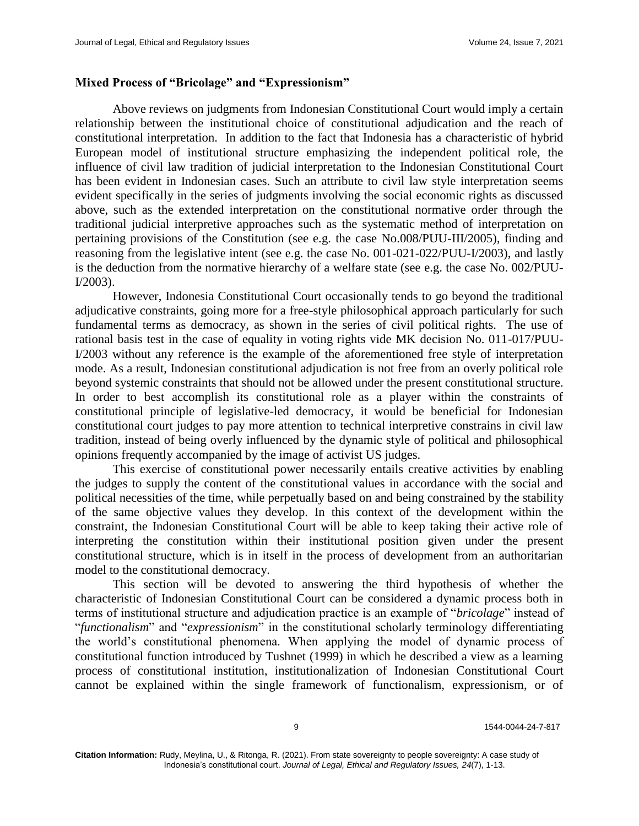# **Mixed Process of "Bricolage" and "Expressionism"**

Above reviews on judgments from Indonesian Constitutional Court would imply a certain relationship between the institutional choice of constitutional adjudication and the reach of constitutional interpretation. In addition to the fact that Indonesia has a characteristic of hybrid European model of institutional structure emphasizing the independent political role, the influence of civil law tradition of judicial interpretation to the Indonesian Constitutional Court has been evident in Indonesian cases. Such an attribute to civil law style interpretation seems evident specifically in the series of judgments involving the social economic rights as discussed above, such as the extended interpretation on the constitutional normative order through the traditional judicial interpretive approaches such as the systematic method of interpretation on pertaining provisions of the Constitution (see e.g. the case No.008/PUU-III/2005), finding and reasoning from the legislative intent (see e.g. the case No. 001-021-022/PUU-I/2003), and lastly is the deduction from the normative hierarchy of a welfare state (see e.g. the case No. 002/PUU-I/2003).

However, Indonesia Constitutional Court occasionally tends to go beyond the traditional adjudicative constraints, going more for a free-style philosophical approach particularly for such fundamental terms as democracy, as shown in the series of civil political rights. The use of rational basis test in the case of equality in voting rights vide MK decision No. 011-017/PUU-I/2003 without any reference is the example of the aforementioned free style of interpretation mode. As a result, Indonesian constitutional adjudication is not free from an overly political role beyond systemic constraints that should not be allowed under the present constitutional structure. In order to best accomplish its constitutional role as a player within the constraints of constitutional principle of legislative-led democracy, it would be beneficial for Indonesian constitutional court judges to pay more attention to technical interpretive constrains in civil law tradition, instead of being overly influenced by the dynamic style of political and philosophical opinions frequently accompanied by the image of activist US judges.

This exercise of constitutional power necessarily entails creative activities by enabling the judges to supply the content of the constitutional values in accordance with the social and political necessities of the time, while perpetually based on and being constrained by the stability of the same objective values they develop. In this context of the development within the constraint, the Indonesian Constitutional Court will be able to keep taking their active role of interpreting the constitution within their institutional position given under the present constitutional structure, which is in itself in the process of development from an authoritarian model to the constitutional democracy.

This section will be devoted to answering the third hypothesis of whether the characteristic of Indonesian Constitutional Court can be considered a dynamic process both in terms of institutional structure and adjudication practice is an example of "*bricolage*" instead of "*functionalism*" and "*expressionism*" in the constitutional scholarly terminology differentiating the world's constitutional phenomena. When applying the model of dynamic process of constitutional function introduced by Tushnet (1999) in which he described a view as a learning process of constitutional institution, institutionalization of Indonesian Constitutional Court cannot be explained within the single framework of functionalism, expressionism, or of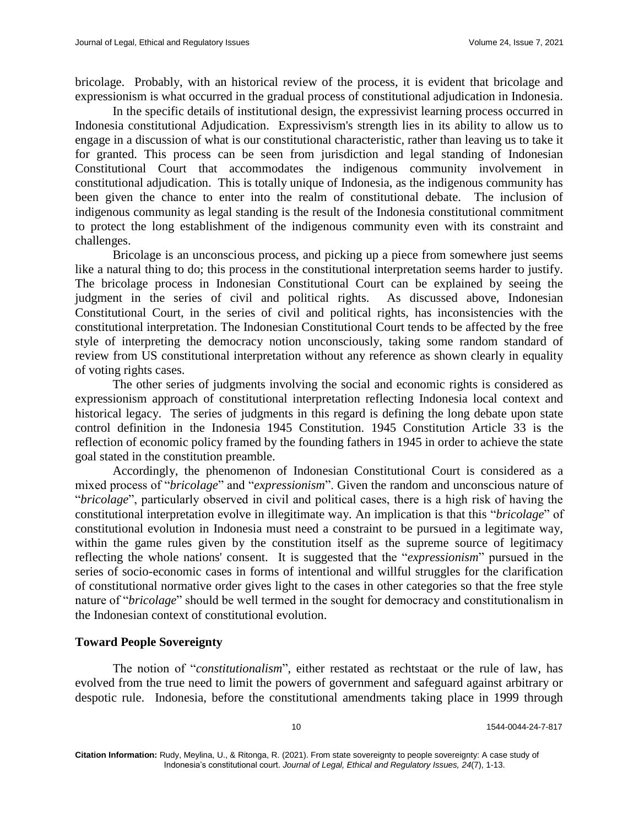bricolage. Probably, with an historical review of the process, it is evident that bricolage and expressionism is what occurred in the gradual process of constitutional adjudication in Indonesia.

In the specific details of institutional design, the expressivist learning process occurred in Indonesia constitutional Adjudication. Expressivism's strength lies in its ability to allow us to engage in a discussion of what is our constitutional characteristic, rather than leaving us to take it for granted. This process can be seen from jurisdiction and legal standing of Indonesian Constitutional Court that accommodates the indigenous community involvement in constitutional adjudication. This is totally unique of Indonesia, as the indigenous community has been given the chance to enter into the realm of constitutional debate. The inclusion of indigenous community as legal standing is the result of the Indonesia constitutional commitment to protect the long establishment of the indigenous community even with its constraint and challenges.

Bricolage is an unconscious process, and picking up a piece from somewhere just seems like a natural thing to do; this process in the constitutional interpretation seems harder to justify. The bricolage process in Indonesian Constitutional Court can be explained by seeing the judgment in the series of civil and political rights. As discussed above, Indonesian Constitutional Court, in the series of civil and political rights, has inconsistencies with the constitutional interpretation. The Indonesian Constitutional Court tends to be affected by the free style of interpreting the democracy notion unconsciously, taking some random standard of review from US constitutional interpretation without any reference as shown clearly in equality of voting rights cases.

The other series of judgments involving the social and economic rights is considered as expressionism approach of constitutional interpretation reflecting Indonesia local context and historical legacy. The series of judgments in this regard is defining the long debate upon state control definition in the Indonesia 1945 Constitution. 1945 Constitution Article 33 is the reflection of economic policy framed by the founding fathers in 1945 in order to achieve the state goal stated in the constitution preamble.

Accordingly, the phenomenon of Indonesian Constitutional Court is considered as a mixed process of "*bricolage*" and "*expressionism*". Given the random and unconscious nature of "*bricolage*", particularly observed in civil and political cases, there is a high risk of having the constitutional interpretation evolve in illegitimate way. An implication is that this "*bricolage*" of constitutional evolution in Indonesia must need a constraint to be pursued in a legitimate way, within the game rules given by the constitution itself as the supreme source of legitimacy reflecting the whole nations' consent. It is suggested that the "*expressionism*" pursued in the series of socio-economic cases in forms of intentional and willful struggles for the clarification of constitutional normative order gives light to the cases in other categories so that the free style nature of "*bricolage*" should be well termed in the sought for democracy and constitutionalism in the Indonesian context of constitutional evolution.

### **Toward People Sovereignty**

The notion of "*constitutionalism*", either restated as rechtstaat or the rule of law, has evolved from the true need to limit the powers of government and safeguard against arbitrary or despotic rule. Indonesia, before the constitutional amendments taking place in 1999 through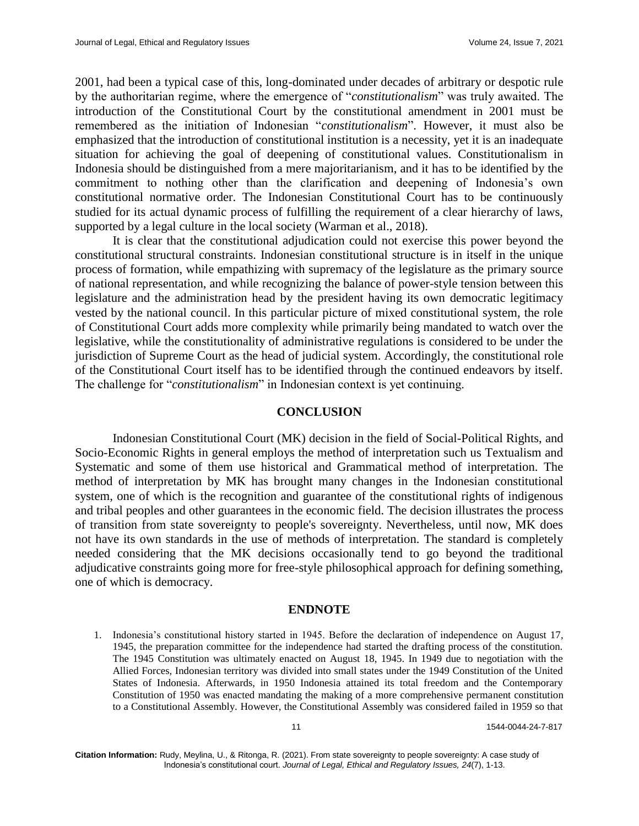2001, had been a typical case of this, long-dominated under decades of arbitrary or despotic rule by the authoritarian regime, where the emergence of "*constitutionalism*" was truly awaited. The introduction of the Constitutional Court by the constitutional amendment in 2001 must be remembered as the initiation of Indonesian "*constitutionalism*". However, it must also be emphasized that the introduction of constitutional institution is a necessity, yet it is an inadequate situation for achieving the goal of deepening of constitutional values. Constitutionalism in Indonesia should be distinguished from a mere majoritarianism, and it has to be identified by the commitment to nothing other than the clarification and deepening of Indonesia's own constitutional normative order. The Indonesian Constitutional Court has to be continuously studied for its actual dynamic process of fulfilling the requirement of a clear hierarchy of laws, supported by a legal culture in the local society (Warman et al., 2018).

It is clear that the constitutional adjudication could not exercise this power beyond the constitutional structural constraints. Indonesian constitutional structure is in itself in the unique process of formation, while empathizing with supremacy of the legislature as the primary source of national representation, and while recognizing the balance of power-style tension between this legislature and the administration head by the president having its own democratic legitimacy vested by the national council. In this particular picture of mixed constitutional system, the role of Constitutional Court adds more complexity while primarily being mandated to watch over the legislative, while the constitutionality of administrative regulations is considered to be under the jurisdiction of Supreme Court as the head of judicial system. Accordingly, the constitutional role of the Constitutional Court itself has to be identified through the continued endeavors by itself. The challenge for "*constitutionalism*" in Indonesian context is yet continuing.

### **CONCLUSION**

Indonesian Constitutional Court (MK) decision in the field of Social-Political Rights, and Socio-Economic Rights in general employs the method of interpretation such us Textualism and Systematic and some of them use historical and Grammatical method of interpretation. The method of interpretation by MK has brought many changes in the Indonesian constitutional system, one of which is the recognition and guarantee of the constitutional rights of indigenous and tribal peoples and other guarantees in the economic field. The decision illustrates the process of transition from state sovereignty to people's sovereignty. Nevertheless, until now, MK does not have its own standards in the use of methods of interpretation. The standard is completely needed considering that the MK decisions occasionally tend to go beyond the traditional adjudicative constraints going more for free-style philosophical approach for defining something, one of which is democracy.

### **ENDNOTE**

1. Indonesia's constitutional history started in 1945. Before the declaration of independence on August 17, 1945, the preparation committee for the independence had started the drafting process of the constitution. The 1945 Constitution was ultimately enacted on August 18, 1945. In 1949 due to negotiation with the Allied Forces, Indonesian territory was divided into small states under the 1949 Constitution of the United States of Indonesia. Afterwards, in 1950 Indonesia attained its total freedom and the Contemporary Constitution of 1950 was enacted mandating the making of a more comprehensive permanent constitution to a Constitutional Assembly. However, the Constitutional Assembly was considered failed in 1959 so that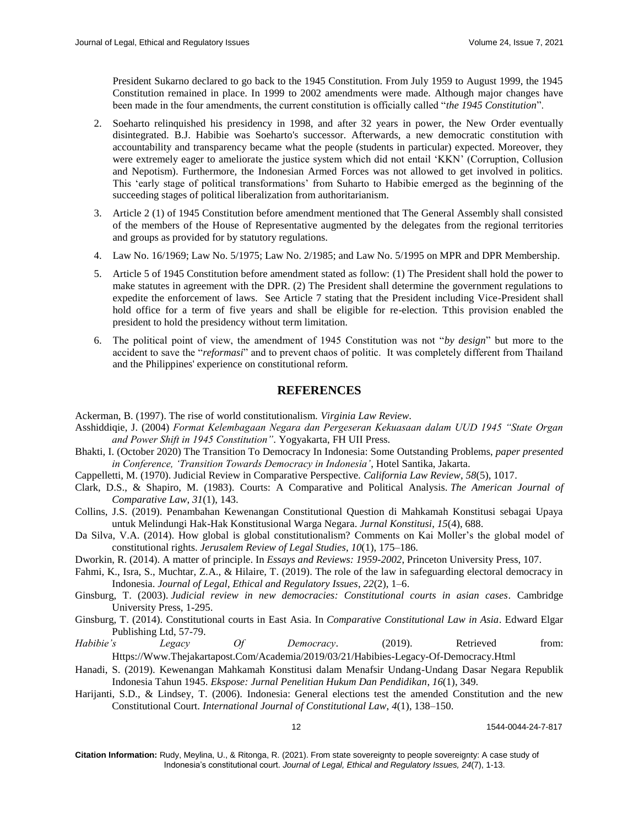President Sukarno declared to go back to the 1945 Constitution. From July 1959 to August 1999, the 1945 Constitution remained in place. In 1999 to 2002 amendments were made. Although major changes have been made in the four amendments, the current constitution is officially called "*the 1945 Constitution*".

- 2. Soeharto relinquished his presidency in 1998, and after 32 years in power, the New Order eventually disintegrated. B.J. Habibie was Soeharto's successor. Afterwards, a new democratic constitution with accountability and transparency became what the people (students in particular) expected. Moreover, they were extremely eager to ameliorate the justice system which did not entail 'KKN' (Corruption, Collusion and Nepotism). Furthermore, the Indonesian Armed Forces was not allowed to get involved in politics. This 'early stage of political transformations' from Suharto to Habibie emerged as the beginning of the succeeding stages of political liberalization from authoritarianism.
- 3. Article 2 (1) of 1945 Constitution before amendment mentioned that The General Assembly shall consisted of the members of the House of Representative augmented by the delegates from the regional territories and groups as provided for by statutory regulations.
- 4. Law No. 16/1969; Law No. 5/1975; Law No. 2/1985; and Law No. 5/1995 on MPR and DPR Membership.
- 5. Article 5 of 1945 Constitution before amendment stated as follow: (1) The President shall hold the power to make statutes in agreement with the DPR. (2) The President shall determine the government regulations to expedite the enforcement of laws. See Article 7 stating that the President including Vice-President shall hold office for a term of five years and shall be eligible for re-election. Tthis provision enabled the president to hold the presidency without term limitation.
- 6. The political point of view, the amendment of 1945 Constitution was not "*by design*" but more to the accident to save the "*reformasi*" and to prevent chaos of politic. It was completely different from Thailand and the Philippines' experience on constitutional reform.

# **REFERENCES**

Ackerman, B. (1997). The rise of world constitutionalism. *Virginia Law Review*.

- Asshiddiqie, J. (2004) *Format Kelembagaan Negara dan Pergeseran Kekuasaan dalam UUD 1945 "State Organ and Power Shift in 1945 Constitution"*. Yogyakarta, FH UII Press.
- Bhakti, I. (October 2020) The Transition To Democracy In Indonesia: Some Outstanding Problems, *paper presented in Conference, 'Transition Towards Democracy in Indonesia'*, Hotel Santika, Jakarta.
- Cappelletti, M. (1970). Judicial Review in Comparative Perspective. *California Law Review*, *58*(5), 1017.
- Clark, D.S., & Shapiro, M. (1983). Courts: A Comparative and Political Analysis. *The American Journal of Comparative Law*, *31*(1), 143.
- Collins, J.S. (2019). Penambahan Kewenangan Constitutional Question di Mahkamah Konstitusi sebagai Upaya untuk Melindungi Hak-Hak Konstitusional Warga Negara. *Jurnal Konstitusi*, *15*(4), 688.
- Da Silva, V.A. (2014). How global is global constitutionalism? Comments on Kai Moller's the global model of constitutional rights. *Jerusalem Review of Legal Studies*, *10*(1), 175–186.
- Dworkin, R. (2014). A matter of principle. In *Essays and Reviews: 1959-2002*, Princeton University Press, 107.
- Fahmi, K., Isra, S., Muchtar, Z.A., & Hilaire, T. (2019). The role of the law in safeguarding electoral democracy in Indonesia. *Journal of Legal, Ethical and Regulatory Issues*, *22*(2), 1–6.
- Ginsburg, T. (2003). *Judicial review in new democracies: Constitutional courts in asian cases*. Cambridge University Press, 1-295.
- Ginsburg, T. (2014). Constitutional courts in East Asia. In *Comparative Constitutional Law in Asia*. Edward Elgar Publishing Ltd, 57-79.
- *Habibie's Legacy Of Democracy*. (2019). Retrieved from: [Https://Www.Thejakartapost.Com/Academia/2019/03/21/Habibies-Legacy-Of-Democracy.Html](https://www.thejakartapost.com/academia/2019/03/21/habibies-legacy-of-democracy.html)
- Hanadi, S. (2019). Kewenangan Mahkamah Konstitusi dalam Menafsir Undang-Undang Dasar Negara Republik Indonesia Tahun 1945. *Ekspose: Jurnal Penelitian Hukum Dan Pendidikan*, *16*(1), 349.
- Harijanti, S.D., & Lindsey, T. (2006). Indonesia: General elections test the amended Constitution and the new Constitutional Court. *International Journal of Constitutional Law*, *4*(1), 138–150.

12 1544-0044-24-7-817